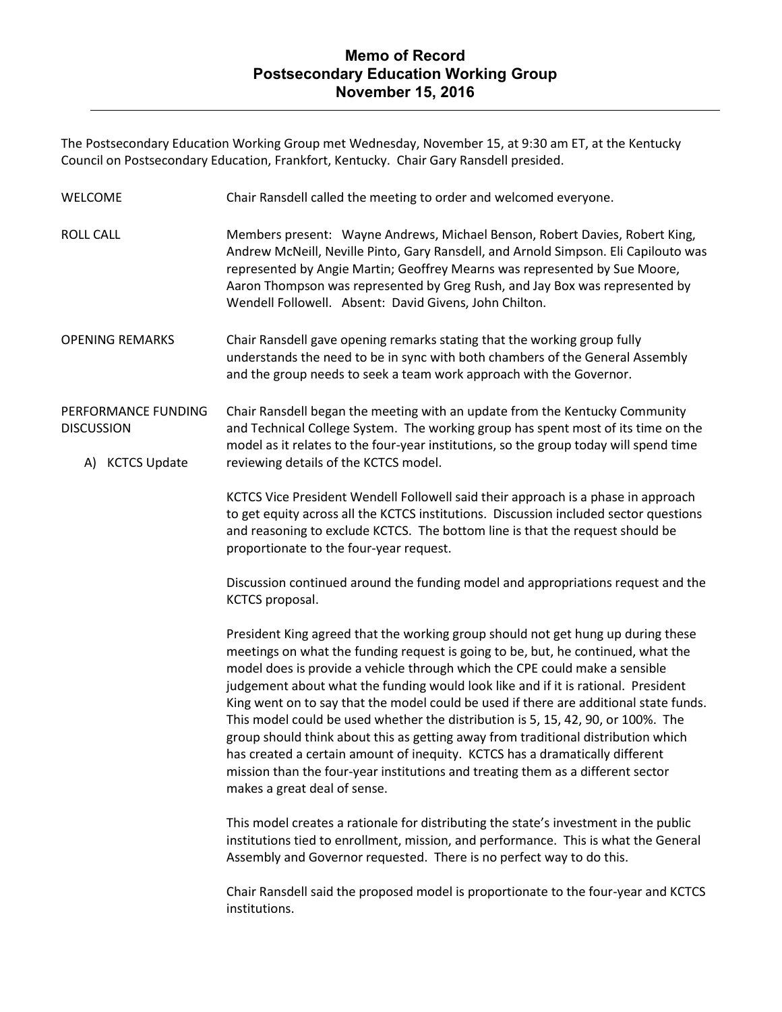The Postsecondary Education Working Group met Wednesday, November 15, at 9:30 am ET, at the Kentucky Council on Postsecondary Education, Frankfort, Kentucky. Chair Gary Ransdell presided.

| <b>WELCOME</b>                                              | Chair Ransdell called the meeting to order and welcomed everyone.                                                                                                                                                                                                                                                                                                                                                                                                                                                                                                                                                                                                                                                                                                                                             |
|-------------------------------------------------------------|---------------------------------------------------------------------------------------------------------------------------------------------------------------------------------------------------------------------------------------------------------------------------------------------------------------------------------------------------------------------------------------------------------------------------------------------------------------------------------------------------------------------------------------------------------------------------------------------------------------------------------------------------------------------------------------------------------------------------------------------------------------------------------------------------------------|
| <b>ROLL CALL</b>                                            | Members present: Wayne Andrews, Michael Benson, Robert Davies, Robert King,<br>Andrew McNeill, Neville Pinto, Gary Ransdell, and Arnold Simpson. Eli Capilouto was<br>represented by Angie Martin; Geoffrey Mearns was represented by Sue Moore,<br>Aaron Thompson was represented by Greg Rush, and Jay Box was represented by<br>Wendell Followell. Absent: David Givens, John Chilton.                                                                                                                                                                                                                                                                                                                                                                                                                     |
| <b>OPENING REMARKS</b>                                      | Chair Ransdell gave opening remarks stating that the working group fully<br>understands the need to be in sync with both chambers of the General Assembly<br>and the group needs to seek a team work approach with the Governor.                                                                                                                                                                                                                                                                                                                                                                                                                                                                                                                                                                              |
| PERFORMANCE FUNDING<br><b>DISCUSSION</b><br>A) KCTCS Update | Chair Ransdell began the meeting with an update from the Kentucky Community<br>and Technical College System. The working group has spent most of its time on the<br>model as it relates to the four-year institutions, so the group today will spend time<br>reviewing details of the KCTCS model.                                                                                                                                                                                                                                                                                                                                                                                                                                                                                                            |
|                                                             | KCTCS Vice President Wendell Followell said their approach is a phase in approach<br>to get equity across all the KCTCS institutions. Discussion included sector questions<br>and reasoning to exclude KCTCS. The bottom line is that the request should be<br>proportionate to the four-year request.                                                                                                                                                                                                                                                                                                                                                                                                                                                                                                        |
|                                                             | Discussion continued around the funding model and appropriations request and the<br>KCTCS proposal.                                                                                                                                                                                                                                                                                                                                                                                                                                                                                                                                                                                                                                                                                                           |
|                                                             | President King agreed that the working group should not get hung up during these<br>meetings on what the funding request is going to be, but, he continued, what the<br>model does is provide a vehicle through which the CPE could make a sensible<br>judgement about what the funding would look like and if it is rational. President<br>King went on to say that the model could be used if there are additional state funds.<br>This model could be used whether the distribution is 5, 15, 42, 90, or 100%. The<br>group should think about this as getting away from traditional distribution which<br>has created a certain amount of inequity. KCTCS has a dramatically different<br>mission than the four-year institutions and treating them as a different sector<br>makes a great deal of sense. |
|                                                             | This model creates a rationale for distributing the state's investment in the public<br>institutions tied to enrollment, mission, and performance. This is what the General<br>Assembly and Governor requested. There is no perfect way to do this.                                                                                                                                                                                                                                                                                                                                                                                                                                                                                                                                                           |

Chair Ransdell said the proposed model is proportionate to the four-year and KCTCS institutions.